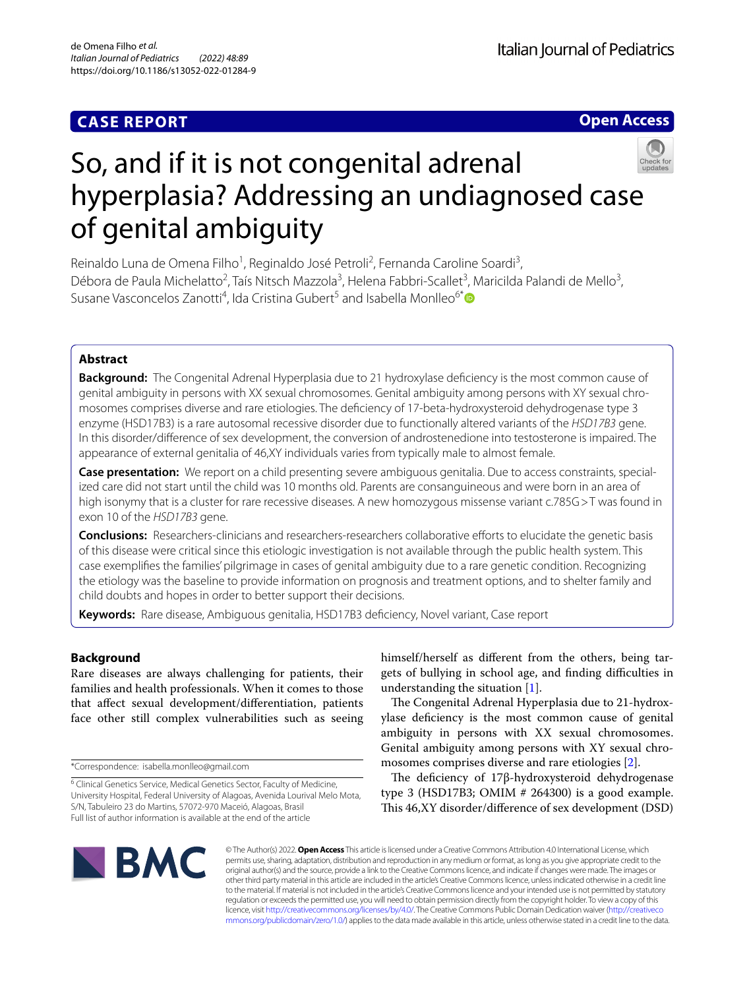## **CASE REPORT**

**Open Access**

# So, and if it is not congenital adrenal hyperplasia? Addressing an undiagnosed case of genital ambiguity

Reinaldo Luna de Omena Filho<sup>1</sup>, Reginaldo José Petroli<sup>2</sup>, Fernanda Caroline Soardi<sup>3</sup>, Débora de Paula Michelatto<sup>2</sup>, Taís Nitsch Mazzola<sup>3</sup>, Helena Fabbri-Scallet<sup>3</sup>, Maricilda Palandi de Mello<sup>3</sup>, Susane Vasconcelos Zanotti<sup>4</sup>, Ida Cristina Gubert<sup>5</sup> and Isabella Monlleo<sup>6\*</sup><sup>O</sup>

## **Abstract**

**Background:** The Congenital Adrenal Hyperplasia due to 21 hydroxylase defciency is the most common cause of genital ambiguity in persons with XX sexual chromosomes. Genital ambiguity among persons with XY sexual chromosomes comprises diverse and rare etiologies. The defciency of 17-beta-hydroxysteroid dehydrogenase type 3 enzyme (HSD17B3) is a rare autosomal recessive disorder due to functionally altered variants of the *HSD17B3* gene. In this disorder/diference of sex development, the conversion of androstenedione into testosterone is impaired. The appearance of external genitalia of 46,XY individuals varies from typically male to almost female.

**Case presentation:** We report on a child presenting severe ambiguous genitalia. Due to access constraints, special‑ ized care did not start until the child was 10 months old. Parents are consanguineous and were born in an area of high isonymy that is a cluster for rare recessive diseases. A new homozygous missense variant c.785G >T was found in exon 10 of the *HSD17B3* gene.

**Conclusions:** Researchers-clinicians and researchers-researchers collaborative efforts to elucidate the genetic basis of this disease were critical since this etiologic investigation is not available through the public health system. This case exemplifes the families' pilgrimage in cases of genital ambiguity due to a rare genetic condition. Recognizing the etiology was the baseline to provide information on prognosis and treatment options, and to shelter family and child doubts and hopes in order to better support their decisions.

**Keywords:** Rare disease, Ambiguous genitalia, HSD17B3 defciency, Novel variant, Case report

## **Background**

Rare diseases are always challenging for patients, their families and health professionals. When it comes to those that afect sexual development/diferentiation, patients face other still complex vulnerabilities such as seeing himself/herself as diferent from the others, being targets of bullying in school age, and finding difficulties in understanding the situation [\[1\]](#page-4-0).

The Congenital Adrenal Hyperplasia due to 21-hydroxylase defciency is the most common cause of genital ambiguity in persons with XX sexual chromosomes. Genital ambiguity among persons with XY sexual chromosomes comprises diverse and rare etiologies [[2\]](#page-4-1).

The deficiency of 17β-hydroxysteroid dehydrogenase type 3 (HSD17B3; OMIM  $# 264300$ ) is a good example. This 46, XY disorder/difference of sex development (DSD)



© The Author(s) 2022. **Open Access** This article is licensed under a Creative Commons Attribution 4.0 International License, which permits use, sharing, adaptation, distribution and reproduction in any medium or format, as long as you give appropriate credit to the original author(s) and the source, provide a link to the Creative Commons licence, and indicate if changes were made. The images or other third party material in this article are included in the article's Creative Commons licence, unless indicated otherwise in a credit line to the material. If material is not included in the article's Creative Commons licence and your intended use is not permitted by statutory regulation or exceeds the permitted use, you will need to obtain permission directly from the copyright holder. To view a copy of this licence, visit [http://creativecommons.org/licenses/by/4.0/.](http://creativecommons.org/licenses/by/4.0/) The Creative Commons Public Domain Dedication waiver ([http://creativeco](http://creativecommons.org/publicdomain/zero/1.0/) [mmons.org/publicdomain/zero/1.0/](http://creativecommons.org/publicdomain/zero/1.0/)) applies to the data made available in this article, unless otherwise stated in a credit line to the data.

<sup>\*</sup>Correspondence: isabella.monlleo@gmail.com

<sup>&</sup>lt;sup>6</sup> Clinical Genetics Service, Medical Genetics Sector, Faculty of Medicine, University Hospital, Federal University of Alagoas, Avenida Lourival Melo Mota, S/N, Tabuleiro 23 do Martins, 57072‑970 Maceió, Alagoas, Brasil Full list of author information is available at the end of the article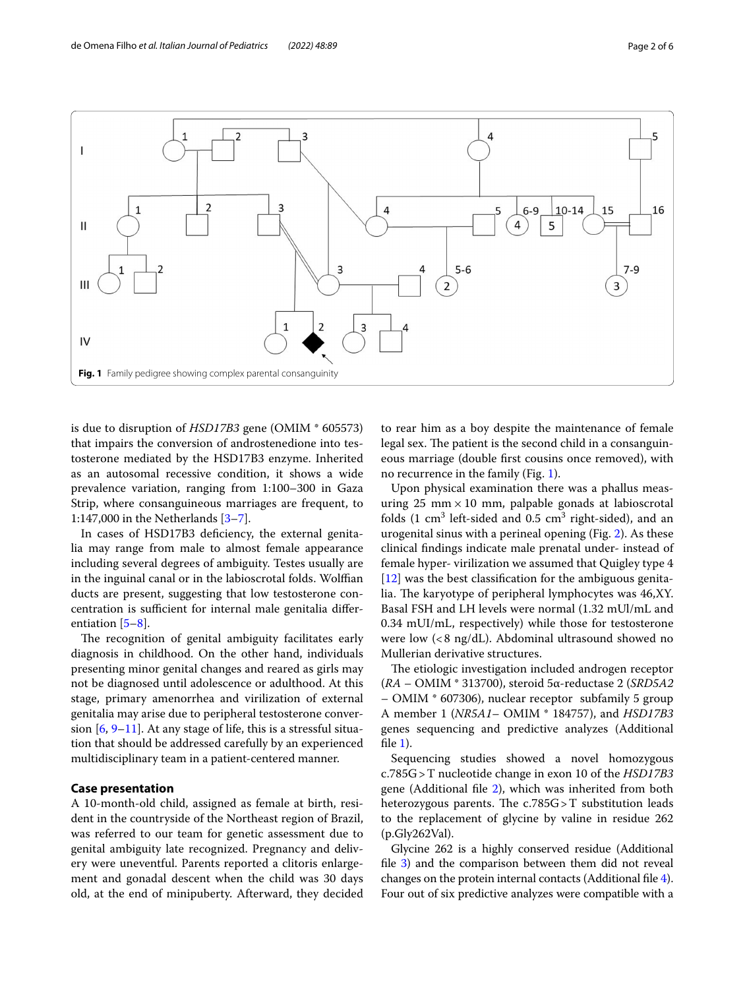

<span id="page-1-0"></span>is due to disruption of *HSD17B3* gene (OMIM \* 605573) that impairs the conversion of androstenedione into testosterone mediated by the HSD17B3 enzyme. Inherited as an autosomal recessive condition, it shows a wide prevalence variation, ranging from 1:100–300 in Gaza Strip, where consanguineous marriages are frequent, to 1:147,000 in the Netherlands [[3](#page-4-2)[–7](#page-5-0)].

In cases of HSD17B3 defciency, the external genitalia may range from male to almost female appearance including several degrees of ambiguity. Testes usually are in the inguinal canal or in the labioscrotal folds. Wolffian ducts are present, suggesting that low testosterone concentration is sufficient for internal male genitalia differentiation [[5–](#page-4-3)[8\]](#page-5-1).

The recognition of genital ambiguity facilitates early diagnosis in childhood. On the other hand, individuals presenting minor genital changes and reared as girls may not be diagnosed until adolescence or adulthood. At this stage, primary amenorrhea and virilization of external genitalia may arise due to peripheral testosterone conversion  $[6, 9-11]$  $[6, 9-11]$  $[6, 9-11]$ . At any stage of life, this is a stressful situation that should be addressed carefully by an experienced multidisciplinary team in a patient-centered manner.

## **Case presentation**

A 10-month-old child, assigned as female at birth, resident in the countryside of the Northeast region of Brazil, was referred to our team for genetic assessment due to genital ambiguity late recognized. Pregnancy and delivery were uneventful. Parents reported a clitoris enlargement and gonadal descent when the child was 30 days old, at the end of minipuberty. Afterward, they decided

to rear him as a boy despite the maintenance of female legal sex. The patient is the second child in a consanguineous marriage (double frst cousins once removed), with no recurrence in the family (Fig. [1\)](#page-1-0).

Upon physical examination there was a phallus measuring 25  $mm \times 10$  mm, palpable gonads at labioscrotal folds  $(1 \text{ cm}^3 \text{ left-sided} \text{ and } 0.5 \text{ cm}^3 \text{ right-sided}),$  and an urogenital sinus with a perineal opening (Fig. [2](#page-2-0)). As these clinical fndings indicate male prenatal under- instead of female hyper- virilization we assumed that Quigley type 4  $[12]$  $[12]$  was the best classification for the ambiguous genitalia. The karyotype of peripheral lymphocytes was 46,XY. Basal FSH and LH levels were normal (1.32 mUl/mL and 0.34 mUI/mL, respectively) while those for testosterone were low (<8 ng/dL). Abdominal ultrasound showed no Mullerian derivative structures.

The etiologic investigation included androgen receptor (*RA* – OMIM \* 313700), steroid 5α-reductase 2 (*SRD5A2* – OMIM \* 607306), nuclear receptor subfamily 5 group A member 1 (*NR5A1*– OMIM \* 184757), and *HSD17B3* genes sequencing and predictive analyzes (Additional fle [1](#page-4-5)).

Sequencing studies showed a novel homozygous c.785G>T nucleotide change in exon 10 of the *HSD17B3* gene (Additional file [2\)](#page-4-6), which was inherited from both heterozygous parents. The  $c.785G > T$  substitution leads to the replacement of glycine by valine in residue 262 (p.Gly262Val).

Glycine 262 is a highly conserved residue (Additional file [3](#page-4-7)) and the comparison between them did not reveal changes on the protein internal contacts (Additional fle [4](#page-4-8)). Four out of six predictive analyzes were compatible with a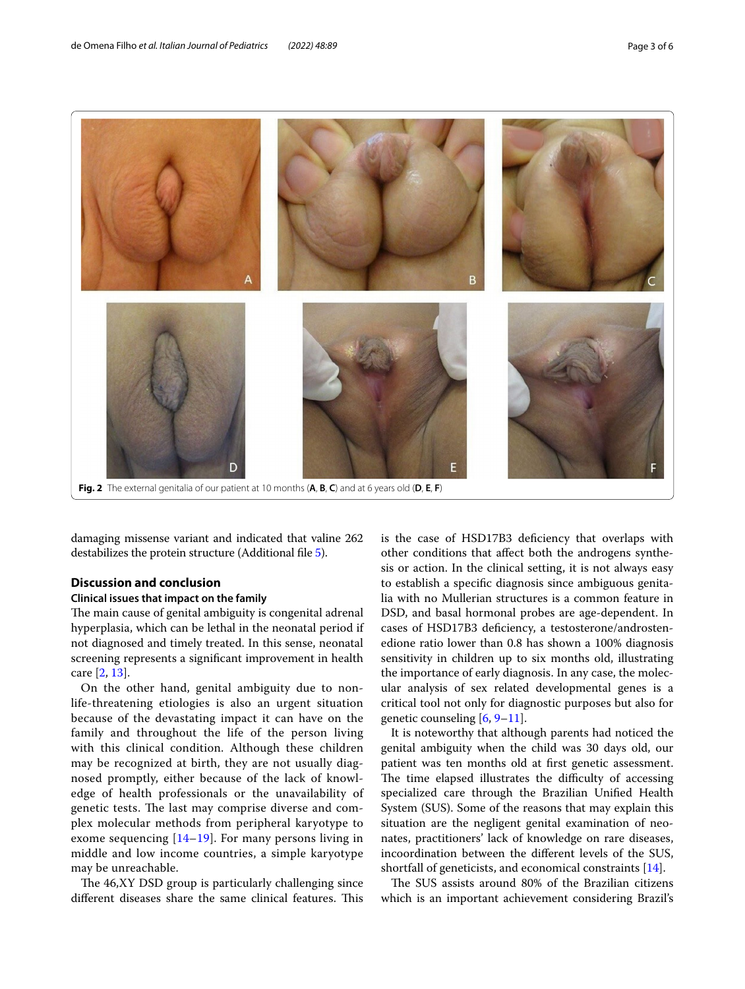

<span id="page-2-0"></span>damaging missense variant and indicated that valine 262 destabilizes the protein structure (Additional fle [5\)](#page-4-9).

## **Discussion and conclusion**

#### **Clinical issues that impact on the family**

The main cause of genital ambiguity is congenital adrenal hyperplasia, which can be lethal in the neonatal period if not diagnosed and timely treated. In this sense, neonatal screening represents a signifcant improvement in health care [\[2](#page-4-1), [13\]](#page-5-5).

On the other hand, genital ambiguity due to nonlife-threatening etiologies is also an urgent situation because of the devastating impact it can have on the family and throughout the life of the person living with this clinical condition. Although these children may be recognized at birth, they are not usually diagnosed promptly, either because of the lack of knowledge of health professionals or the unavailability of genetic tests. The last may comprise diverse and complex molecular methods from peripheral karyotype to exome sequencing [\[14](#page-5-6)–[19\]](#page-5-7). For many persons living in middle and low income countries, a simple karyotype may be unreachable.

The 46, XY DSD group is particularly challenging since different diseases share the same clinical features. This is the case of HSD17B3 defciency that overlaps with other conditions that afect both the androgens synthesis or action. In the clinical setting, it is not always easy to establish a specifc diagnosis since ambiguous genitalia with no Mullerian structures is a common feature in DSD, and basal hormonal probes are age-dependent. In cases of HSD17B3 defciency, a testosterone/androstenedione ratio lower than 0.8 has shown a 100% diagnosis sensitivity in children up to six months old, illustrating the importance of early diagnosis. In any case, the molecular analysis of sex related developmental genes is a critical tool not only for diagnostic purposes but also for genetic counseling [[6,](#page-4-4) [9](#page-5-2)[–11\]](#page-5-3).

It is noteworthy that although parents had noticed the genital ambiguity when the child was 30 days old, our patient was ten months old at frst genetic assessment. The time elapsed illustrates the difficulty of accessing specialized care through the Brazilian Unifed Health System (SUS). Some of the reasons that may explain this situation are the negligent genital examination of neonates, practitioners' lack of knowledge on rare diseases, incoordination between the diferent levels of the SUS, shortfall of geneticists, and economical constraints [\[14\]](#page-5-6).

The SUS assists around 80% of the Brazilian citizens which is an important achievement considering Brazil's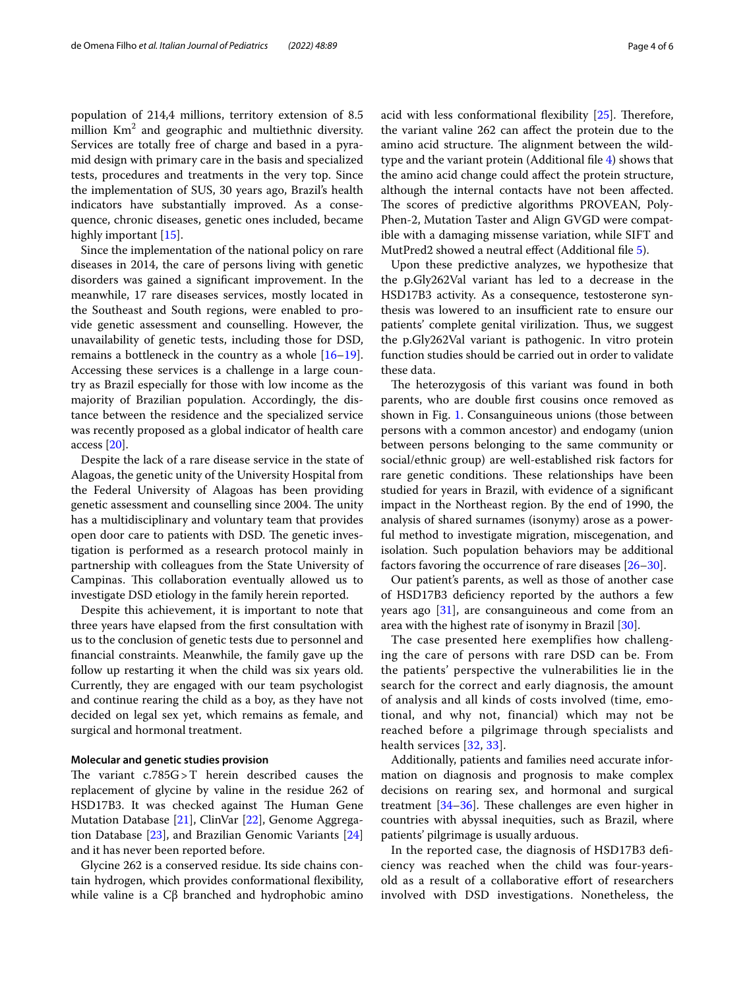population of 214,4 millions, territory extension of 8.5 million  $Km^2$  and geographic and multiethnic diversity. Services are totally free of charge and based in a pyramid design with primary care in the basis and specialized tests, procedures and treatments in the very top. Since the implementation of SUS, 30 years ago, Brazil's health indicators have substantially improved. As a consequence, chronic diseases, genetic ones included, became highly important [\[15](#page-5-8)].

Since the implementation of the national policy on rare diseases in 2014, the care of persons living with genetic disorders was gained a signifcant improvement. In the meanwhile, 17 rare diseases services, mostly located in the Southeast and South regions, were enabled to provide genetic assessment and counselling. However, the unavailability of genetic tests, including those for DSD, remains a bottleneck in the country as a whole  $[16–19]$  $[16–19]$  $[16–19]$  $[16–19]$ . Accessing these services is a challenge in a large country as Brazil especially for those with low income as the majority of Brazilian population. Accordingly, the distance between the residence and the specialized service was recently proposed as a global indicator of health care access [\[20](#page-5-10)].

Despite the lack of a rare disease service in the state of Alagoas, the genetic unity of the University Hospital from the Federal University of Alagoas has been providing genetic assessment and counselling since 2004. The unity has a multidisciplinary and voluntary team that provides open door care to patients with DSD. The genetic investigation is performed as a research protocol mainly in partnership with colleagues from the State University of Campinas. This collaboration eventually allowed us to investigate DSD etiology in the family herein reported.

Despite this achievement, it is important to note that three years have elapsed from the frst consultation with us to the conclusion of genetic tests due to personnel and fnancial constraints. Meanwhile, the family gave up the follow up restarting it when the child was six years old. Currently, they are engaged with our team psychologist and continue rearing the child as a boy, as they have not decided on legal sex yet, which remains as female, and surgical and hormonal treatment.

#### **Molecular and genetic studies provision**

The variant  $c.785G > T$  herein described causes the replacement of glycine by valine in the residue 262 of HSD17B3. It was checked against The Human Gene Mutation Database [[21](#page-5-11)], ClinVar [[22\]](#page-5-12), Genome Aggregation Database [[23\]](#page-5-13), and Brazilian Genomic Variants [[24](#page-5-14)] and it has never been reported before.

Glycine 262 is a conserved residue. Its side chains contain hydrogen, which provides conformational fexibility, while valine is a Cβ branched and hydrophobic amino acid with less conformational flexibility  $[25]$  $[25]$  $[25]$ . Therefore, the variant valine 262 can afect the protein due to the amino acid structure. The alignment between the wildtype and the variant protein (Additional fle [4](#page-4-8)) shows that the amino acid change could afect the protein structure, although the internal contacts have not been afected. The scores of predictive algorithms PROVEAN, Poly-Phen-2, Mutation Taster and Align GVGD were compatible with a damaging missense variation, while SIFT and MutPred2 showed a neutral efect (Additional fle [5\)](#page-4-9).

Upon these predictive analyzes, we hypothesize that the p.Gly262Val variant has led to a decrease in the HSD17B3 activity. As a consequence, testosterone synthesis was lowered to an insufficient rate to ensure our patients' complete genital virilization. Thus, we suggest the p.Gly262Val variant is pathogenic. In vitro protein function studies should be carried out in order to validate these data.

The heterozygosis of this variant was found in both parents, who are double frst cousins once removed as shown in Fig. [1](#page-1-0). Consanguineous unions (those between persons with a common ancestor) and endogamy (union between persons belonging to the same community or social/ethnic group) are well-established risk factors for rare genetic conditions. These relationships have been studied for years in Brazil, with evidence of a signifcant impact in the Northeast region. By the end of 1990, the analysis of shared surnames (isonymy) arose as a powerful method to investigate migration, miscegenation, and isolation. Such population behaviors may be additional factors favoring the occurrence of rare diseases [[26–](#page-5-16)[30](#page-5-17)].

Our patient's parents, as well as those of another case of HSD17B3 defciency reported by the authors a few years ago [[31\]](#page-5-18), are consanguineous and come from an area with the highest rate of isonymy in Brazil [[30\]](#page-5-17).

The case presented here exemplifies how challenging the care of persons with rare DSD can be. From the patients' perspective the vulnerabilities lie in the search for the correct and early diagnosis, the amount of analysis and all kinds of costs involved (time, emotional, and why not, financial) which may not be reached before a pilgrimage through specialists and health services [[32,](#page-5-19) [33](#page-5-20)].

Additionally, patients and families need accurate information on diagnosis and prognosis to make complex decisions on rearing sex, and hormonal and surgical treatment  $[34-36]$  $[34-36]$  $[34-36]$ . These challenges are even higher in countries with abyssal inequities, such as Brazil, where patients' pilgrimage is usually arduous.

In the reported case, the diagnosis of HSD17B3 defciency was reached when the child was four-yearsold as a result of a collaborative efort of researchers involved with DSD investigations. Nonetheless, the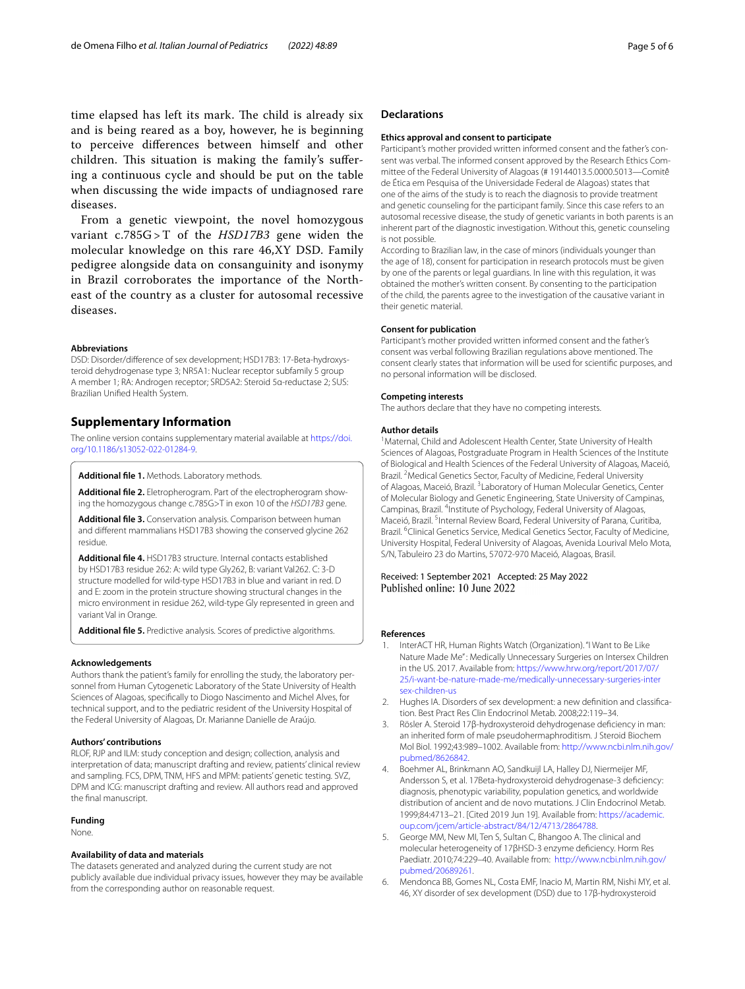time elapsed has left its mark. The child is already six and is being reared as a boy, however, he is beginning to perceive diferences between himself and other children. This situation is making the family's suffering a continuous cycle and should be put on the table when discussing the wide impacts of undiagnosed rare diseases.

From a genetic viewpoint, the novel homozygous variant c.785G >T of the *HSD17B3* gene widen the molecular knowledge on this rare 46,XY DSD. Family pedigree alongside data on consanguinity and isonymy in Brazil corroborates the importance of the Northeast of the country as a cluster for autosomal recessive diseases.

#### **Abbreviations**

DSD: Disorder/difference of sex development; HSD17B3: 17-Beta-hydroxysteroid dehydrogenase type 3; NR5A1: Nuclear receptor subfamily 5 group A member 1; RA: Androgen receptor; SRD5A2: Steroid 5α-reductase 2; SUS: Brazilian Unifed Health System.

## **Supplementary Information**

The online version contains supplementary material available at [https://doi.](https://doi.org/10.1186/s13052-022-01284-9) [org/10.1186/s13052-022-01284-9](https://doi.org/10.1186/s13052-022-01284-9).

<span id="page-4-6"></span><span id="page-4-5"></span>**Additional fle 1.** Methods. Laboratory methods.

**Additional fle 2.** Eletropherogram. Part of the electropherogram show‑ ing the homozygous change c.785G>T in exon 10 of the *HSD17B3* gene.

**Additional fle 3.** Conservation analysis. Comparison between human and diferent mammalians HSD17B3 showing the conserved glycine 262 residue.

<span id="page-4-8"></span>**Additional fle 4.** HSD17B3 structure. Internal contacts established by HSD17B3 residue 262: A: wild type Gly262, B: variant Val262. C: 3-D structure modelled for wild-type HSD17B3 in blue and variant in red. D and E: zoom in the protein structure showing structural changes in the micro environment in residue 262, wild-type Gly represented in green and variant Val in Orange.

<span id="page-4-9"></span>**Additional fle 5.** Predictive analysis. Scores of predictive algorithms.

#### **Acknowledgements**

Authors thank the patient's family for enrolling the study, the laboratory per‑ sonnel from Human Cytogenetic Laboratory of the State University of Health Sciences of Alagoas, specifcally to Diogo Nascimento and Michel Alves, for technical support, and to the pediatric resident of the University Hospital of the Federal University of Alagoas, Dr. Marianne Danielle de Araújo.

## **Authors' contributions**

RLOF, RJP and ILM: study conception and design; collection, analysis and interpretation of data; manuscript drafting and review, patients' clinical review and sampling. FCS, DPM, TNM, HFS and MPM: patients' genetic testing. SVZ, DPM and ICG: manuscript drafting and review. All authors read and approved the fnal manuscript.

#### **Funding**

None.

#### **Availability of data and materials**

The datasets generated and analyzed during the current study are not publicly available due individual privacy issues, however they may be available from the corresponding author on reasonable request.

#### **Declarations**

#### **Ethics approval and consent to participate**

Participant's mother provided written informed consent and the father's consent was verbal. The informed consent approved by the Research Ethics Committee of the Federal University of Alagoas (# 19144013.5.0000.5013—Comitê de Ética em Pesquisa of the Universidade Federal de Alagoas) states that one of the aims of the study is to reach the diagnosis to provide treatment and genetic counseling for the participant family. Since this case refers to an autosomal recessive disease, the study of genetic variants in both parents is an inherent part of the diagnostic investigation. Without this, genetic counseling is not possible.

According to Brazilian law, in the case of minors (individuals younger than the age of 18), consent for participation in research protocols must be given by one of the parents or legal guardians. In line with this regulation, it was obtained the mother's written consent. By consenting to the participation of the child, the parents agree to the investigation of the causative variant in their genetic material.

#### **Consent for publication**

Participant's mother provided written informed consent and the father's consent was verbal following Brazilian regulations above mentioned. The consent clearly states that information will be used for scientifc purposes, and no personal information will be disclosed.

#### **Competing interests**

The authors declare that they have no competing interests.

#### **Author details**

<span id="page-4-7"></span><sup>1</sup> Maternal, Child and Adolescent Health Center, State University of Health Sciences of Alagoas, Postgraduate Program in Health Sciences of the Institute of Biological and Health Sciences of the Federal University of Alagoas, Maceió, Brazil. <sup>2</sup> Medical Genetics Sector, Faculty of Medicine, Federal University of Alagoas, Maceió, Brazil. <sup>3</sup> Laboratory of Human Molecular Genetics, Center of Molecular Biology and Genetic Engineering, State University of Campinas, Campinas, Brazil. <sup>4</sup>Institute of Psychology, Federal University of Alagoas, Maceió, Brazil.<sup>5</sup> Internal Review Board, Federal University of Parana, Curitiba, Brazil. <sup>6</sup>Clinical Genetics Service, Medical Genetics Sector, Faculty of Medicine, University Hospital, Federal University of Alagoas, Avenida Lourival Melo Mota, S/N, Tabuleiro 23 do Martins, 57072‑970 Maceió, Alagoas, Brasil.

Received: 1 September 2021 Accepted: 25 May 2022 Published online: 10 June 2022

#### **References**

- <span id="page-4-0"></span>InterACT HR, Human Rights Watch (Organization). "I Want to Be Like Nature Made Me": Medically Unnecessary Surgeries on Intersex Children in the US. 2017. Available from: [https://www.hrw.org/report/2017/07/](https://www.hrw.org/report/2017/07/25/i-want-be-nature-made-me/medically-unnecessary-surgeries-intersex-children-us) [25/i-want-be-nature-made-me/medically-unnecessary-surgeries-inter](https://www.hrw.org/report/2017/07/25/i-want-be-nature-made-me/medically-unnecessary-surgeries-intersex-children-us) [sex-children-us](https://www.hrw.org/report/2017/07/25/i-want-be-nature-made-me/medically-unnecessary-surgeries-intersex-children-us)
- <span id="page-4-1"></span>2. Hughes IA. Disorders of sex development: a new definition and classification. Best Pract Res Clin Endocrinol Metab. 2008;22:119–34.
- <span id="page-4-2"></span>Rösler A. Steroid 17β-hydroxysteroid dehydrogenase deficiency in man: an inherited form of male pseudohermaphroditism. J Steroid Biochem Mol Biol. 1992;43:989–1002. Available from: [http://www.ncbi.nlm.nih.gov/](http://www.ncbi.nlm.nih.gov/pubmed/8626842) [pubmed/8626842](http://www.ncbi.nlm.nih.gov/pubmed/8626842).
- 4. Boehmer AL, Brinkmann AO, Sandkuijl LA, Halley DJ, Niermeijer MF, Andersson S, et al. 17Beta-hydroxysteroid dehydrogenase-3 defciency: diagnosis, phenotypic variability, population genetics, and worldwide distribution of ancient and de novo mutations. J Clin Endocrinol Metab. 1999;84:4713–21. [Cited 2019 Jun 19]. Available from: [https://academic.](https://academic.oup.com/jcem/article-abstract/84/12/4713/2864788) [oup.com/jcem/article-abstract/84/12/4713/2864788.](https://academic.oup.com/jcem/article-abstract/84/12/4713/2864788)
- <span id="page-4-3"></span>5. George MM, New MI, Ten S, Sultan C, Bhangoo A. The clinical and molecular heterogeneity of 17βHSD-3 enzyme defciency. Horm Res Paediatr. 2010;74:229–40. Available from: [http://www.ncbi.nlm.nih.gov/](http://www.ncbi.nlm.nih.gov/pubmed/20689261) [pubmed/20689261.](http://www.ncbi.nlm.nih.gov/pubmed/20689261)
- <span id="page-4-4"></span>6. Mendonca BB, Gomes NL, Costa EMF, Inacio M, Martin RM, Nishi MY, et al. 46, XY disorder of sex development (DSD) due to 17β-hydroxysteroid